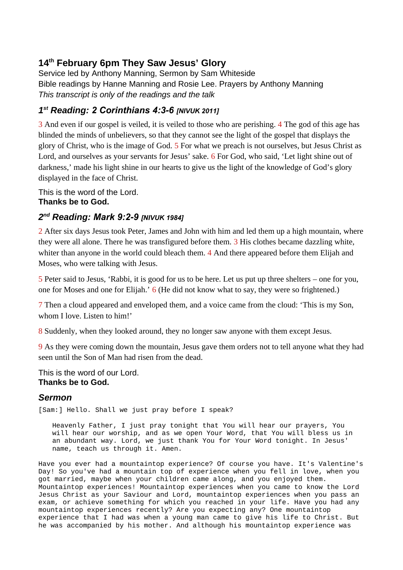## **14th February 6pm They Saw Jesus' Glory**

Service led by Anthony Manning, Sermon by Sam Whiteside Bible readings by Hanne Manning and Rosie Lee. Prayers by Anthony Manning *This transcript is only of the readings and the talk*

## *1 st Reading: 2 Corinthians 4:3-6 [NIVUK 2011]*

3 And even if our gospel is veiled, it is veiled to those who are perishing. 4 The god of this age has blinded the minds of unbelievers, so that they cannot see the light of the gospel that displays the glory of Christ, who is the image of God. 5 For what we preach is not ourselves, but Jesus Christ as Lord, and ourselves as your servants for Jesus' sake. 6 For God, who said, 'Let light shine out of darkness,' made his light shine in our hearts to give us the light of the knowledge of God's glory displayed in the face of Christ.

This is the word of the Lord. **Thanks be to God.**

## *2 nd Reading: Mark 9:2-9 [NIVUK 1984]*

2 After six days Jesus took Peter, James and John with him and led them up a high mountain, where they were all alone. There he was transfigured before them. 3 His clothes became dazzling white, whiter than anyone in the world could bleach them. 4 And there appeared before them Elijah and Moses, who were talking with Jesus.

5 Peter said to Jesus, 'Rabbi, it is good for us to be here. Let us put up three shelters – one for you, one for Moses and one for Elijah.' 6 (He did not know what to say, they were so frightened.)

7 Then a cloud appeared and enveloped them, and a voice came from the cloud: 'This is my Son, whom I love. Listen to him!'

8 Suddenly, when they looked around, they no longer saw anyone with them except Jesus.

9 As they were coming down the mountain, Jesus gave them orders not to tell anyone what they had seen until the Son of Man had risen from the dead.

This is the word of our Lord. **Thanks be to God.**

## *Sermon*

[Sam:] Hello. Shall we just pray before I speak?

Heavenly Father, I just pray tonight that You will hear our prayers, You will hear our worship, and as we open Your Word, that You will bless us in an abundant way. Lord, we just thank You for Your Word tonight. In Jesus' name, teach us through it. Amen.

Have you ever had a mountaintop experience? Of course you have. It's Valentine's Day! So you've had a mountain top of experience when you fell in love, when you got married, maybe when your children came along, and you enjoyed them. Mountaintop experiences! Mountaintop experiences when you came to know the Lord Jesus Christ as your Saviour and Lord, mountaintop experiences when you pass an exam, or achieve something for which you reached in your life. Have you had any mountaintop experiences recently? Are you expecting any? One mountaintop experience that I had was when a young man came to give his life to Christ. But he was accompanied by his mother. And although his mountaintop experience was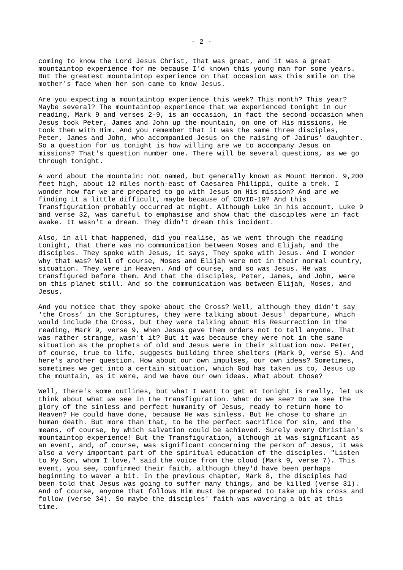coming to know the Lord Jesus Christ, that was great, and it was a great mountaintop experience for me because I'd known this young man for some years. But the greatest mountaintop experience on that occasion was this smile on the mother's face when her son came to know Jesus.

Are you expecting a mountaintop experience this week? This month? This year? Maybe several? The mountaintop experience that we experienced tonight in our reading, Mark 9 and verses 2-9, is an occasion, in fact the second occasion when Jesus took Peter, James and John up the mountain, on one of His missions, He took them with Him. And you remember that it was the same three disciples, Peter, James and John, who accompanied Jesus on the raising of Jairus' daughter. So a question for us tonight is how willing are we to accompany Jesus on missions? That's question number one. There will be several questions, as we go through tonight.

A word about the mountain: not named, but generally known as Mount Hermon. 9,200 feet high, about 12 miles north-east of Caesarea Philippi, quite a trek. I wonder how far we are prepared to go with Jesus on His mission? And are we finding it a little difficult, maybe because of COVID-19? And this Transfiguration probably occurred at night. Although Luke in his account, Luke 9 and verse 32, was careful to emphasise and show that the disciples were in fact awake. It wasn't a dream. They didn't dream this incident.

Also, in all that happened, did you realise, as we went through the reading tonight, that there was no communication between Moses and Elijah, and the disciples. They spoke with Jesus, it says, They spoke with Jesus. And I wonder why that was? Well of course, Moses and Elijah were not in their normal country, situation. They were in Heaven. And of course, and so was Jesus. He was transfigured before them. And that the disciples, Peter, James, and John, were on this planet still. And so the communication was between Elijah, Moses, and Jesus.

And you notice that they spoke about the Cross? Well, although they didn't say 'the Cross' in the Scriptures, they were talking about Jesus' departure, which would include the Cross, but they were talking about His Resurrection in the reading, Mark 9, verse 9, when Jesus gave them orders not to tell anyone. That was rather strange, wasn't it? But it was because they were not in the same situation as the prophets of old and Jesus were in their situation now. Peter, of course, true to life, suggests building three shelters (Mark 9, verse 5). And here's another question. How about our own impulses, our own ideas? Sometimes, sometimes we get into a certain situation, which God has taken us to, Jesus up the mountain, as it were, and we have our own ideas. What about those?

Well, there's some outlines, but what I want to get at tonight is really, let us think about what *we* see in the Transfiguration. What do we see? Do we see the glory of the sinless and perfect humanity of Jesus, ready to return home to Heaven? He could have done, because He was sinless. But He chose to share in human death. But more than that, to be the perfect sacrifice for sin, and the means, of course, by which salvation could be achieved. Surely every Christian's mountaintop experience! But the Transfiguration, although it was significant as an event, and, of course, was significant concerning the person of Jesus, it was also a very important part of the spiritual education of the disciples. "Listen to My Son, whom I love," said the voice from the cloud (Mark 9, verse 7). This event, you see, confirmed their faith, although they'd have been perhaps beginning to waver a bit. In the previous chapter, Mark 8, the disciples had been told that Jesus was going to suffer many things, and be killed (verse 31). And of course, anyone that follows Him must be prepared to take up his cross and follow (verse 34). So maybe the disciples' faith was wavering a bit at this time.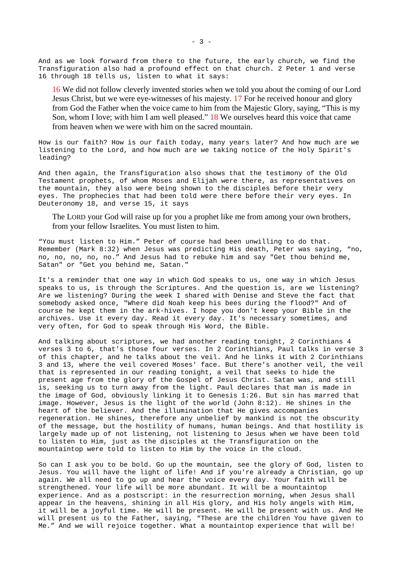And as we look forward from there to the future, the early church, we find the Transfiguration also had a profound effect on that church. 2 Peter 1 and verse 16 through 18 tells us, listen to what it says:

16 We did not follow cleverly invented stories when we told you about the coming of our Lord Jesus Christ, but we were eye-witnesses of his majesty. 17 For he received honour and glory from God the Father when the voice came to him from the Majestic Glory, saying, "This is my Son, whom I love; with him I am well pleased." 18 We ourselves heard this voice that came from heaven when we were with him on the sacred mountain.

How is our faith? How is our faith today, many years later? And how much are we listening to the Lord, and how much are we taking notice of the Holy Spirit's leading?

And then again, the Transfiguration also shows that the testimony of the Old Testament prophets, of whom Moses and Elijah were there, as representatives on the mountain, they also were being shown to the disciples before their very eyes. The prophecies that had been told were there before their very eyes. In Deuteronomy 18, and verse 15, it says

The LORD your God will raise up for you a prophet like me from among your own brothers, from your fellow Israelites. You must listen to him.

"You must listen to Him." Peter of course had been unwilling to do that. Remember (Mark 8:32) when Jesus was predicting His death, Peter was saying, "no, no, no, no, no, no." And Jesus had to rebuke him and say "Get thou behind me, Satan" or "Get you behind me, Satan."

It's a reminder that one way in which God speaks to us, one way in which Jesus speaks to us, is through the Scriptures. And the question is, are we listening? Are we listening? During the week I shared with Denise and Steve the fact that somebody asked once, "Where did Noah keep his bees during the flood?" And of course he kept them in the ark-hives. I hope you don't keep your Bible in the archives. Use it every day. Read it every day. It's necessary sometimes, and very often, for God to speak through His Word, the Bible.

And talking about scriptures, we had another reading tonight, 2 Corinthians 4 verses 3 to 6, that's those four verses. In 2 Corinthians, Paul talks in verse 3 of this chapter, and he talks about the veil. And he links it with 2 Corinthians 3 and 13, where the veil covered Moses' face. But there's another veil, the veil that is represented in our reading tonight, a veil that seeks to hide the present age from the glory of the Gospel of Jesus Christ. Satan was, and still is, seeking us to turn away from the light. Paul declares that man is made in the image of God, obviously linking it to Genesis 1:26. But sin has marred that image. However, Jesus is the light of the world (John 8:12). He shines in the heart of the believer. And the illumination that He gives accompanies regeneration. He shines, therefore any unbelief by mankind is not the obscurity of the message, but the hostility of humans, human beings. And that hostility is largely made up of not listening, not listening to Jesus when we have been told to listen to Him, just as the disciples at the Transfiguration on the mountaintop were told to listen to Him by the voice in the cloud.

So can I ask you to be bold. Go up the mountain, see the glory of God, listen to Jesus. You will have the light of life! And if you're already a Christian, go up again. We all need to go up and hear the voice every day. Your faith will be strengthened. Your life will be more abundant. It will be a mountaintop experience. And as a postscript: in the resurrection morning, when Jesus shall appear in the heavens, shining in all His glory, and His holy angels with Him, it will be a joyful time. He will be present. He will be present with us. And He will present us to the Father, saying, "These are the children You have given to Me." And we will rejoice together. What a mountaintop experience that will be!